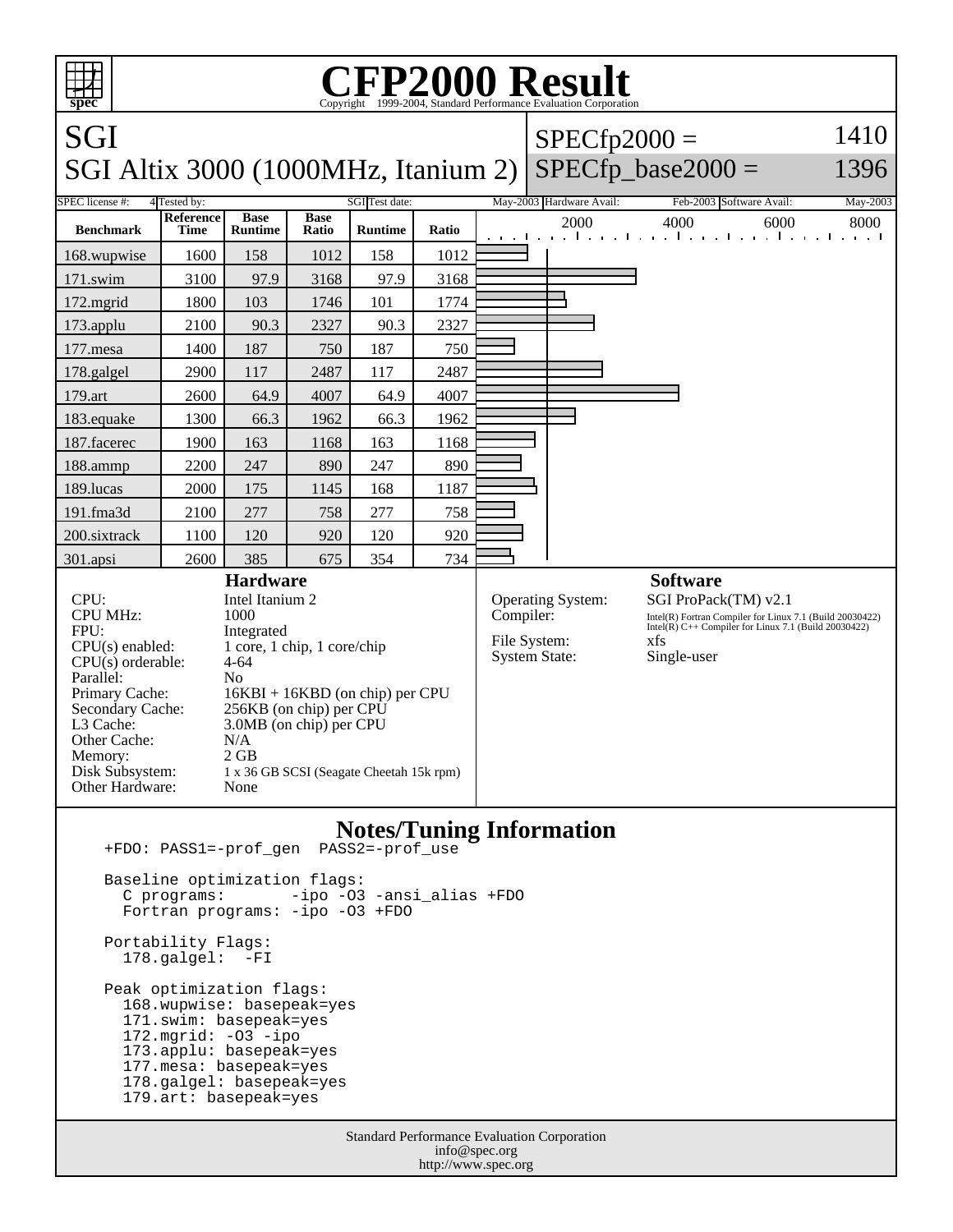

 Portability Flags: 178.galgel: -FI

 Peak optimization flags: 168.wupwise: basepeak=yes 171.swim: basepeak=yes 172.mgrid: -O3 -ipo 173.applu: basepeak=yes 177.mesa: basepeak=yes 178.galgel: basepeak=yes 179.art: basepeak=yes

> Standard Performance Evaluation Corporation info@spec.org http://www.spec.org